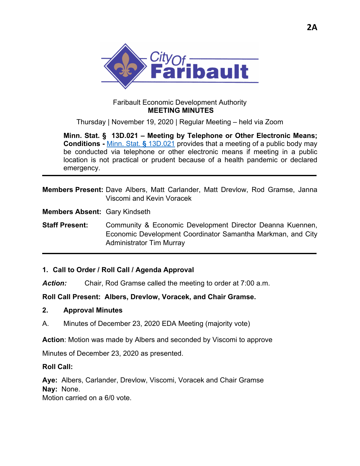

### Faribault Economic Development Authority  **MEETING MINUTES**

Thursday | November 19, 2020 | Regular Meeting – held via Zoom

**Minn. Stat. § 13D.021 – Meeting by Telephone or Other Electronic Means; Conditions -** Minn. Stat. **§** 13D.021 provides that a meeting of a public body may be conducted via telephone or other electronic means if meeting in a public location is not practical or prudent because of a health pandemic or declared emergency.

**Members Present:** Dave Albers, Matt Carlander, Matt Drevlow, Rod Gramse, Janna Viscomi and Kevin Voracek

**Members Absent:** Gary Kindseth

**Staff Present:** Community & Economic Development Director Deanna Kuennen, Economic Development Coordinator Samantha Markman, and City Administrator Tim Murray

### **1. Call to Order / Roll Call / Agenda Approval**

*Action:* Chair, Rod Gramse called the meeting to order at 7:00 a.m.

**Roll Call Present: Albers, Drevlow, Voracek, and Chair Gramse.** 

#### **2. Approval Minutes**

A. Minutes of December 23, 2020 EDA Meeting (majority vote)

**Action**: Motion was made by Albers and seconded by Viscomi to approve

Minutes of December 23, 2020 as presented.

#### **Roll Call:**

**Aye:** Albers, Carlander, Drevlow, Viscomi, Voracek and Chair Gramse **Nay:** None.

Motion carried on a 6/0 vote.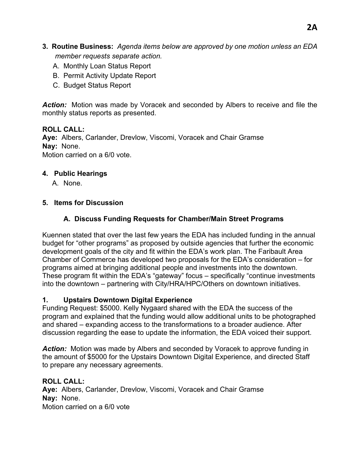- **3. Routine Business:** *Agenda items below are approved by one motion unless an EDA member requests separate action.* 
	- A. Monthly Loan Status Report
	- B. Permit Activity Update Report
	- C. Budget Status Report

*Action:* Motion was made by Voracek and seconded by Albers to receive and file the monthly status reports as presented.

# **ROLL CALL:**

**Aye:** Albers, Carlander, Drevlow, Viscomi, Voracek and Chair Gramse **Nay:** None. Motion carried on a 6/0 vote.

## **4. Public Hearings**

A. None.

# **5. Items for Discussion**

# **A. Discuss Funding Requests for Chamber/Main Street Programs**

Kuennen stated that over the last few years the EDA has included funding in the annual budget for "other programs" as proposed by outside agencies that further the economic development goals of the city and fit within the EDA's work plan. The Faribault Area Chamber of Commerce has developed two proposals for the EDA's consideration – for programs aimed at bringing additional people and investments into the downtown. These program fit within the EDA's "gateway" focus – specifically "continue investments into the downtown – partnering with City/HRA/HPC/Others on downtown initiatives.

## **1. Upstairs Downtown Digital Experience**

Funding Request: \$5000. Kelly Nygaard shared with the EDA the success of the program and explained that the funding would allow additional units to be photographed and shared – expanding access to the transformations to a broader audience. After discussion regarding the ease to update the information, the EDA voiced their support.

*Action:* Motion was made by Albers and seconded by Voracek to approve funding in the amount of \$5000 for the Upstairs Downtown Digital Experience, and directed Staff to prepare any necessary agreements.

## **ROLL CALL:**

**Aye:** Albers, Carlander, Drevlow, Viscomi, Voracek and Chair Gramse **Nay:** None. Motion carried on a 6/0 vote